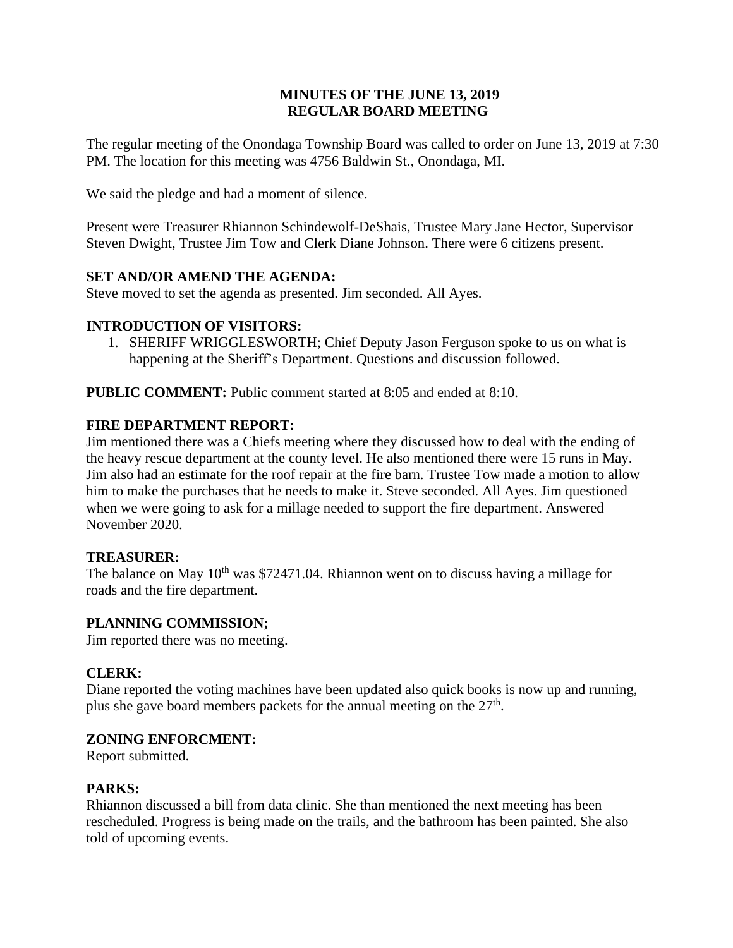# **MINUTES OF THE JUNE 13, 2019 REGULAR BOARD MEETING**

The regular meeting of the Onondaga Township Board was called to order on June 13, 2019 at 7:30 PM. The location for this meeting was 4756 Baldwin St., Onondaga, MI.

We said the pledge and had a moment of silence.

Present were Treasurer Rhiannon Schindewolf-DeShais, Trustee Mary Jane Hector, Supervisor Steven Dwight, Trustee Jim Tow and Clerk Diane Johnson. There were 6 citizens present.

# **SET AND/OR AMEND THE AGENDA:**

Steve moved to set the agenda as presented. Jim seconded. All Ayes.

# **INTRODUCTION OF VISITORS:**

1. SHERIFF WRIGGLESWORTH; Chief Deputy Jason Ferguson spoke to us on what is happening at the Sheriff's Department. Questions and discussion followed.

**PUBLIC COMMENT:** Public comment started at 8:05 and ended at 8:10.

# **FIRE DEPARTMENT REPORT:**

Jim mentioned there was a Chiefs meeting where they discussed how to deal with the ending of the heavy rescue department at the county level. He also mentioned there were 15 runs in May. Jim also had an estimate for the roof repair at the fire barn. Trustee Tow made a motion to allow him to make the purchases that he needs to make it. Steve seconded. All Ayes. Jim questioned when we were going to ask for a millage needed to support the fire department. Answered November 2020.

# **TREASURER:**

The balance on May  $10<sup>th</sup>$  was \$72471.04. Rhiannon went on to discuss having a millage for roads and the fire department.

# **PLANNING COMMISSION;**

Jim reported there was no meeting.

# **CLERK:**

Diane reported the voting machines have been updated also quick books is now up and running, plus she gave board members packets for the annual meeting on the  $27<sup>th</sup>$ .

### **ZONING ENFORCMENT:**

Report submitted.

### **PARKS:**

Rhiannon discussed a bill from data clinic. She than mentioned the next meeting has been rescheduled. Progress is being made on the trails, and the bathroom has been painted. She also told of upcoming events.